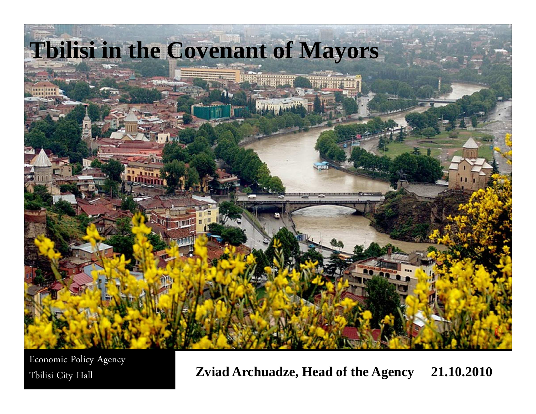

Economic Policy Agency

Tbilisi City Hall **Zviad Archuadze, Head of the Agency 21.10.2010**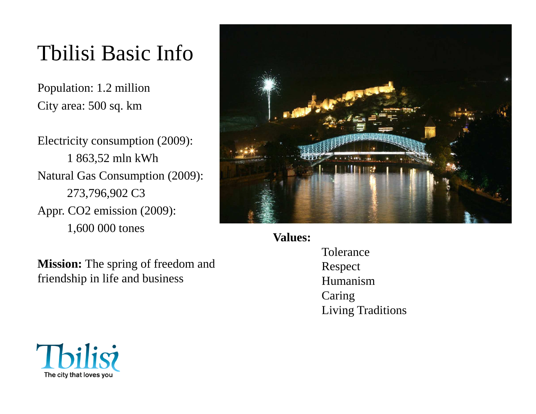# Tbilisi Basic Info

Population: 1.2 millionCity area: 500 sq. km

Electricity consumption (2009):1 863,52 mln kWhNatural Gas Consumption (2009):273,796,902 C3Appr. CO2 emission (2009):1,600 000 tones

**Mission:** The spring of freedom andfriendship in life and business



**Values:**

ToleranceRespectHumanismCaringLiving Traditions

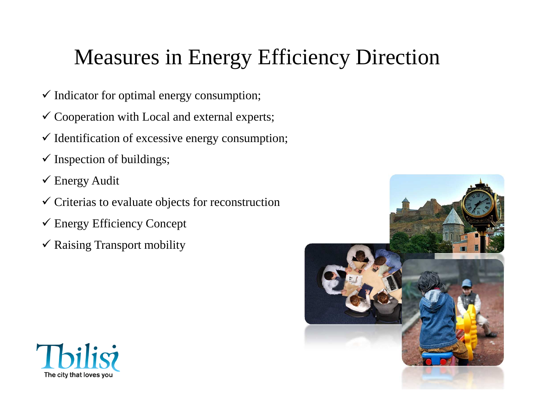# Measures in Energy Efficiency Direction

- $\checkmark$  Indicator for optimal energy consumption;
- $\checkmark$  Cooperation with Local and external experts;
- $\checkmark$  Identification of excessive energy consumption;
- $\checkmark$  Inspection of buildings;
- $\checkmark$  Energy Audit
- $\checkmark$  Criterias to evaluate objects for reconstruction
- Energy Efficiency Concept
- $\checkmark$  Raising Transport mobility



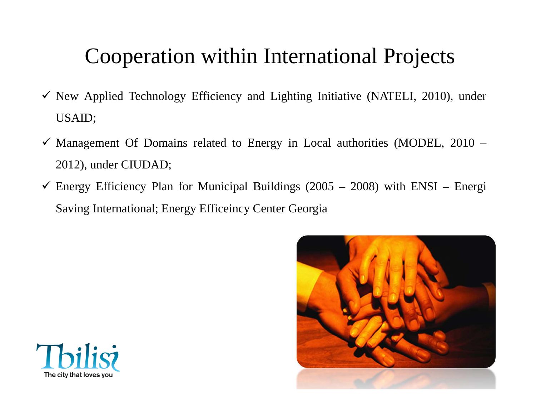## Cooperation within International Projects

- $\checkmark$  New Applied Technology Efficiency and Lighting Initiative (NATELI, 2010), under USAID;
- $\checkmark$  Management Of Domains related to Energy in Local authorities (MODEL, 2010 2012), under CIUDAD;
- $\checkmark$  Energy Efficiency Plan for Municipal Buildings (2005 2008) with ENSI Energi Saving International; Energy Efficeincy Center Georgia



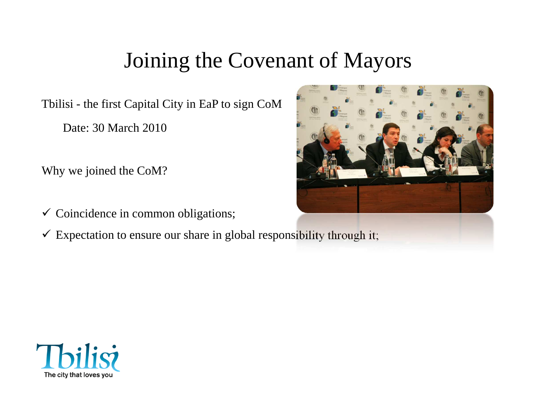#### Joining the Covenant of Mayors

Tbilisi - the first Capital City in EaP to sign CoM

Date: 30 March 2010

Why we joined the CoM?

 $\checkmark$  Coincidence in common obligations;

 $\checkmark$  Expectation to ensure our share in global responsibility through it;



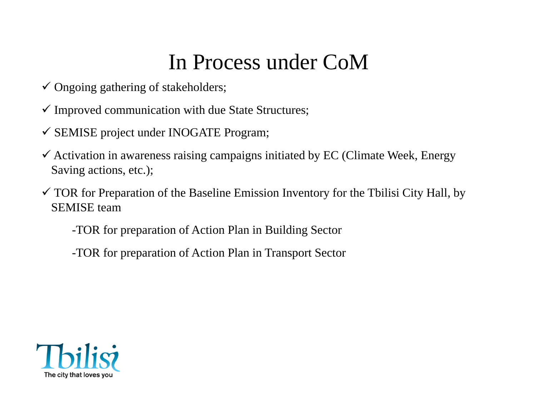## In Process under CoM

- $\checkmark$  Ongoing gathering of stakeholders;
- $\checkmark$  Improved communication with due State Structures;
- SEMISE project under INOGATE Program;
- $\checkmark$  Activation in awareness raising campaigns initiated by EC (Climate Week, Energy Saving actions, etc.);
- $\checkmark$  TOR for Preparation of the Baseline Emission Inventory for the Tbilisi City Hall, by SEMISE team
	- -TOR for preparation of Action Plan in Building Sector
	- -TOR for preparation of Action Plan in Transport Sector

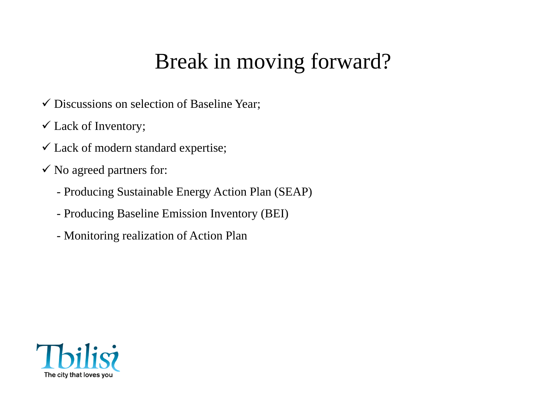## Break in moving forward?

- $\checkmark$  Discussions on selection of Baseline Year;
- $\checkmark$  Lack of Inventory;
- $\checkmark$  Lack of modern standard expertise;
- $\checkmark$  No agreed partners for:
	- Producing Sustainable Energy Action Plan (SEAP)
	- Producing Baseline Emission Inventory (BEI)
	- Monitoring realization of Action Plan

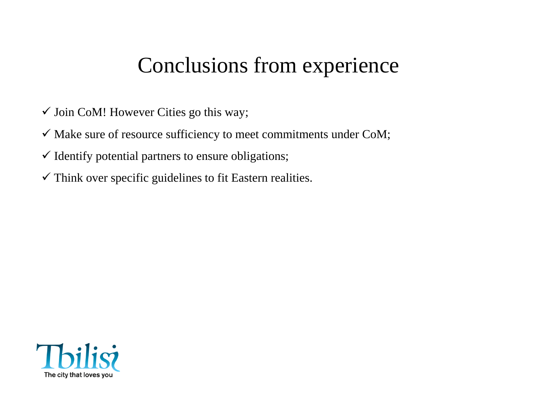#### Conclusions from experience

- $\checkmark$  Join CoM! However Cities go this way;
- $\checkmark$  Make sure of resource sufficiency to meet commitments under CoM;
- $\checkmark$  Identify potential partners to ensure obligations;
- $\checkmark$  Think over specific guidelines to fit Eastern realities.